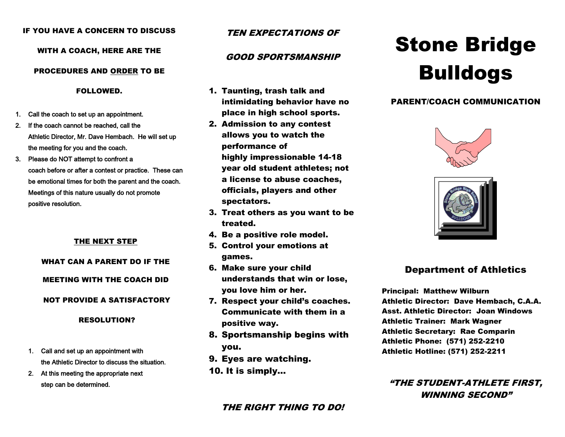#### IF YOU HAVE A CONCERN TO DISCUSS

#### WITH A COACH, HERE ARE THE

#### PROCEDURES AND ORDER TO BE

FOLLOWED.

- 1. Call the coach to set up an appointment.
- 2. If the coach cannot be reached, call the Athletic Director, Mr. Dave Hembach. He will set up the meeting for you and the coach.
- 3. Please do NOT attempt to confront a coach before or after a contest or practice. These can be emotional times for both the parent and the coach. Meetings of this nature usually do not promote positive resolution.

#### THE NEXT STEP

# WHAT CAN A PARENT DO IF THE

# MEETING WITH THE COACH DID

#### NOT PROVIDE A SATISFACTORY

#### RESOLUTION?

- 1. Call and set up an appointment with the Athletic Director to discuss the situation.
- 2. At this meeting the appropriate next step can be determined.

# TEN EXPECTATIONS OF

# GOOD SPORTSMANSHIP

- 1. Taunting, trash talk and intimidating behavior have no place in high school sports.
- 2. Admission to any contest allows you to watch the performance of highly impressionable 14-18 year old student athletes; not a license to abuse coaches, officials, players and other spectators.
- 3. Treat others as you want to be treated.
- 4. Be a positive role model.
- 5. Control your emotions at games.
- 6. Make sure your child understands that win or lose, you love him or her.
- 7. Respect your child's coaches. Communicate with them in a positive way.
- 8. Sportsmanship begins with you.
- 9. Eyes are watching.
- 10. It is simply…

# THE RIGHT THING TO DO!

# Stone Bridge Bulldogs

## PARENT/COACH COMMUNICATION





# Department of Athletics

Principal: Matthew Wilburn Athletic Director: Dave Hembach, C.A.A. Asst. Athletic Director: Joan Windows Athletic Trainer: Mark Wagner Athletic Secretary: Rae Comparin Athletic Phone: (571) 252-2210 Athletic Hotline: (571) 252-2211

"THE STUDENT-ATHLETE FIRST, WINNING SECOND"